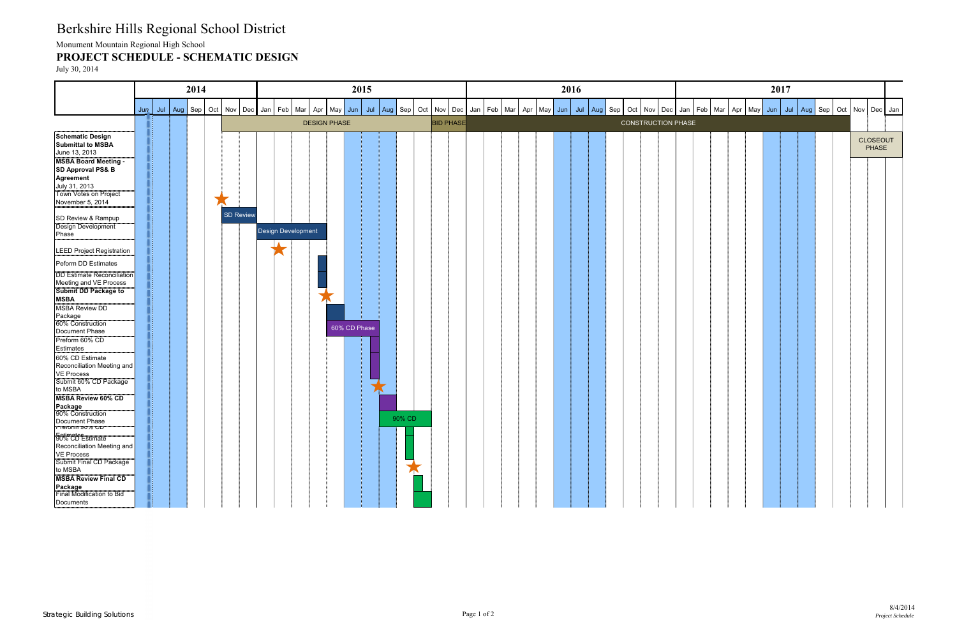## Berkshire Hills Regional School District

Monument Mountain Regional High School

## **PROJECT SCHEDULE - SCHEMATIC DESIGN**

July 30, 2014



| ٠b | Mar | Apr | May | Jun | Jul | Aug | Sep | Oct | Nov             | Dec | Jan |
|----|-----|-----|-----|-----|-----|-----|-----|-----|-----------------|-----|-----|
|    |     |     |     |     |     |     |     |     |                 |     |     |
|    |     |     |     |     |     |     |     |     | <b>CLOSEOUT</b> |     |     |
|    |     |     |     |     |     |     |     |     | <b>PHASE</b>    |     |     |
|    |     |     |     |     |     |     |     |     |                 |     |     |
|    |     |     |     |     |     |     |     |     |                 |     |     |
|    |     |     |     |     |     |     |     |     |                 |     |     |
|    |     |     |     |     |     |     |     |     |                 |     |     |
|    |     |     |     |     |     |     |     |     |                 |     |     |
|    |     |     |     |     |     |     |     |     |                 |     |     |
|    |     |     |     |     |     |     |     |     |                 |     |     |
|    |     |     |     |     |     |     |     |     |                 |     |     |
|    |     |     |     |     |     |     |     |     |                 |     |     |
|    |     |     |     |     |     |     |     |     |                 |     |     |
|    |     |     |     |     |     |     |     |     |                 |     |     |
|    |     |     |     |     |     |     |     |     |                 |     |     |
|    |     |     |     |     |     |     |     |     |                 |     |     |
|    |     |     |     |     |     |     |     |     |                 |     |     |
|    |     |     |     |     |     |     |     |     |                 |     |     |
|    |     |     |     |     |     |     |     |     |                 |     |     |
|    |     |     |     |     |     |     |     |     |                 |     |     |
|    |     |     |     |     |     |     |     |     |                 |     |     |
|    |     |     |     |     |     |     |     |     |                 |     |     |
|    |     |     |     |     |     |     |     |     |                 |     |     |
|    |     |     |     |     |     |     |     |     |                 |     |     |
|    |     |     |     |     |     |     |     |     |                 |     |     |